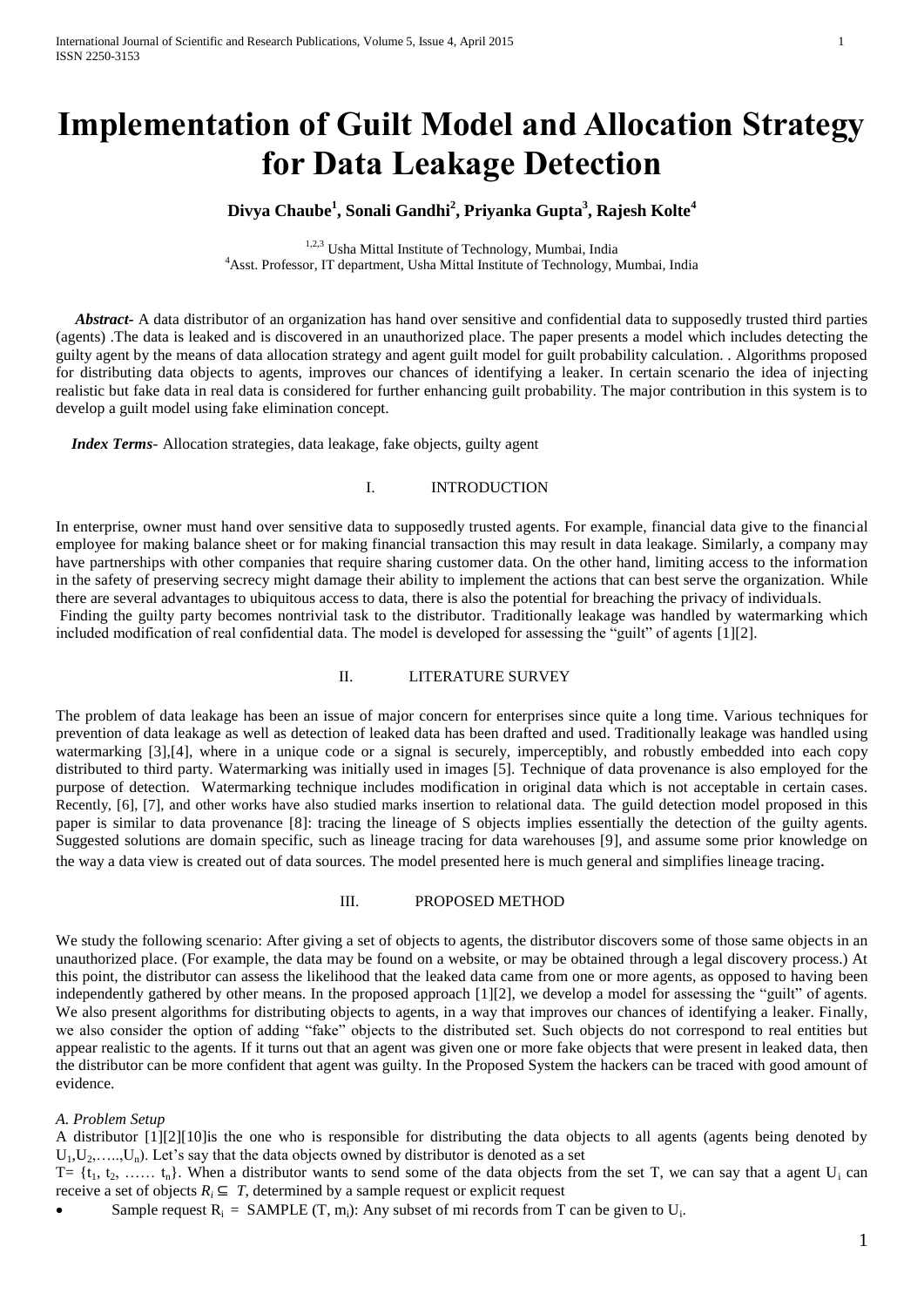# **Implementation of Guilt Model and Allocation Strategy for Data Leakage Detection**

# **Divya Chaube<sup>1</sup> , Sonali Gandhi<sup>2</sup> , Priyanka Gupta<sup>3</sup> , Rajesh Kolte<sup>4</sup>**

1,2,3 Usha Mittal Institute of Technology, Mumbai, India <sup>4</sup>Asst. Professor, IT department, Usha Mittal Institute of Technology, Mumbai, India

 *Abstract-* A data distributor of an organization has hand over sensitive and confidential data to supposedly trusted third parties (agents) .The data is leaked and is discovered in an unauthorized place. The paper presents a model which includes detecting the guilty agent by the means of data allocation strategy and agent guilt model for guilt probability calculation. . Algorithms proposed for distributing data objects to agents, improves our chances of identifying a leaker. In certain scenario the idea of injecting realistic but fake data in real data is considered for further enhancing guilt probability. The major contribution in this system is to develop a guilt model using fake elimination concept.

 *Index Terms*- Allocation strategies, data leakage, fake objects, guilty agent

## I. INTRODUCTION

In enterprise, owner must hand over sensitive data to supposedly trusted agents. For example, financial data give to the financial employee for making balance sheet or for making financial transaction this may result in data leakage. Similarly, a company may have partnerships with other companies that require sharing customer data. On the other hand, limiting access to the information in the safety of preserving secrecy might damage their ability to implement the actions that can best serve the organization. While there are several advantages to ubiquitous access to data, there is also the potential for breaching the privacy of individuals. Finding the guilty party becomes nontrivial task to the distributor. Traditionally leakage was handled by watermarking which included modification of real confidential data. The model is developed for assessing the "guilt" of agents [1][2].

## II. LITERATURE SURVEY

The problem of data leakage has been an issue of major concern for enterprises since quite a long time. Various techniques for prevention of data leakage as well as detection of leaked data has been drafted and used. Traditionally leakage was handled using watermarking [3],[4], where in a unique code or a signal is securely, imperceptibly, and robustly embedded into each copy distributed to third party. Watermarking was initially used in images [5]. Technique of data provenance is also employed for the purpose of detection. Watermarking technique includes modification in original data which is not acceptable in certain cases. Recently, [6], [7], and other works have also studied marks insertion to relational data. The guild detection model proposed in this paper is similar to data provenance [8]: tracing the lineage of S objects implies essentially the detection of the guilty agents. Suggested solutions are domain specific, such as lineage tracing for data warehouses [9], and assume some prior knowledge on the way a data view is created out of data sources. The model presented here is much general and simplifies lineage tracing.

#### III. PROPOSED METHOD

We study the following scenario: After giving a set of objects to agents, the distributor discovers some of those same objects in an unauthorized place. (For example, the data may be found on a website, or may be obtained through a legal discovery process.) At this point, the distributor can assess the likelihood that the leaked data came from one or more agents, as opposed to having been independently gathered by other means. In the proposed approach [1][2], we develop a model for assessing the "guilt" of agents. We also present algorithms for distributing objects to agents, in a way that improves our chances of identifying a leaker. Finally, we also consider the option of adding "fake" objects to the distributed set. Such objects do not correspond to real entities but appear realistic to the agents. If it turns out that an agent was given one or more fake objects that were present in leaked data, then the distributor can be more confident that agent was guilty. In the Proposed System the hackers can be traced with good amount of evidence.

### *A. Problem Setup*

A distributor [1][2][10]is the one who is responsible for distributing the data objects to all agents (agents being denoted by  $U_1, U_2, \ldots, U_n$ ). Let's say that the data objects owned by distributor is denoted as a set

 $T = \{t_1, t_2, \ldots, t_n\}$ . When a distributor wants to send some of the data objects from the set T, we can say that a agent  $U_i$  can receive a set of objects  $R_i \subseteq T$ , determined by a sample request or explicit request

Sample request  $R_i = SAMPLE(T, m_i)$ : Any subset of mi records from T can be given to  $U_i$ .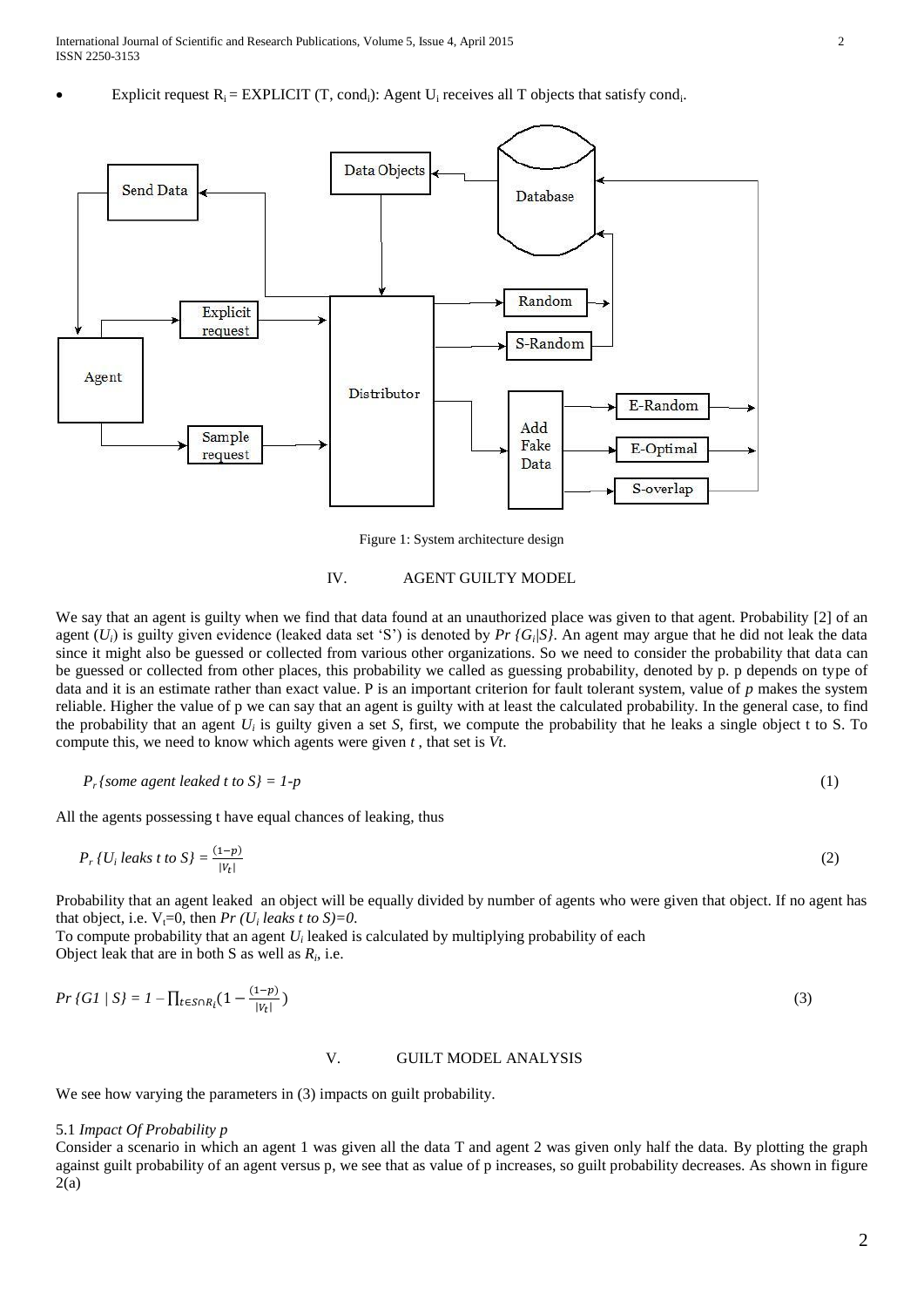Explicit request  $R_i = EXPLICIT$  (T, cond<sub>i</sub>): Agent U<sub>i</sub> receives all T objects that satisfy cond<sub>i</sub>.



Figure 1: System architecture design

## IV. AGENT GUILTY MODEL

We say that an agent is guilty when we find that data found at an unauthorized place was given to that agent. Probability [2] of an agent (*Ui*) is guilty given evidence (leaked data set 'S') is denoted by *Pr {G<sup>i</sup> |S}*. An agent may argue that he did not leak the data since it might also be guessed or collected from various other organizations. So we need to consider the probability that data can be guessed or collected from other places, this probability we called as guessing probability, denoted by p. p depends on type of data and it is an estimate rather than exact value. P is an important criterion for fault tolerant system, value of *p* makes the system reliable. Higher the value of p we can say that an agent is guilty with at least the calculated probability. In the general case, to find the probability that an agent  $U_i$  is guilty given a set *S*, first, we compute the probability that he leaks a single object t to *S*. To compute this, we need to know which agents were given *t* , that set is *Vt*.

$$
P_r\{some\ agent\ leaked\ t\ to\ S\} = 1-p\tag{1}
$$

All the agents possessing t have equal chances of leaking, thus

$$
P_r\{U_i\} \text{leaks } t \text{ to } S \} = \frac{(1-p)}{|V_t|} \tag{2}
$$

Probability that an agent leaked an object will be equally divided by number of agents who were given that object. If no agent has that object, i.e.  $V_t=0$ , then *Pr* (*U<sub>i</sub>* leaks t to S)=0.

To compute probability that an agent *U<sup>i</sup>* leaked is calculated by multiplying probability of each Object leak that are in both S as well as  $R_i$ , i.e.

$$
Pr\{GI \mid SI = I - \prod_{t \in S \cap R_i} \left(1 - \frac{(1-p)}{|V_t|}\right)\tag{3}
$$

### V. GUILT MODEL ANALYSIS

We see how varying the parameters in  $(3)$  impacts on guilt probability.

## 5.1 *Impact Of Probability p*

Consider a scenario in which an agent 1 was given all the data T and agent 2 was given only half the data. By plotting the graph against guilt probability of an agent versus p, we see that as value of p increases, so guilt probability decreases. As shown in figure  $2(a)$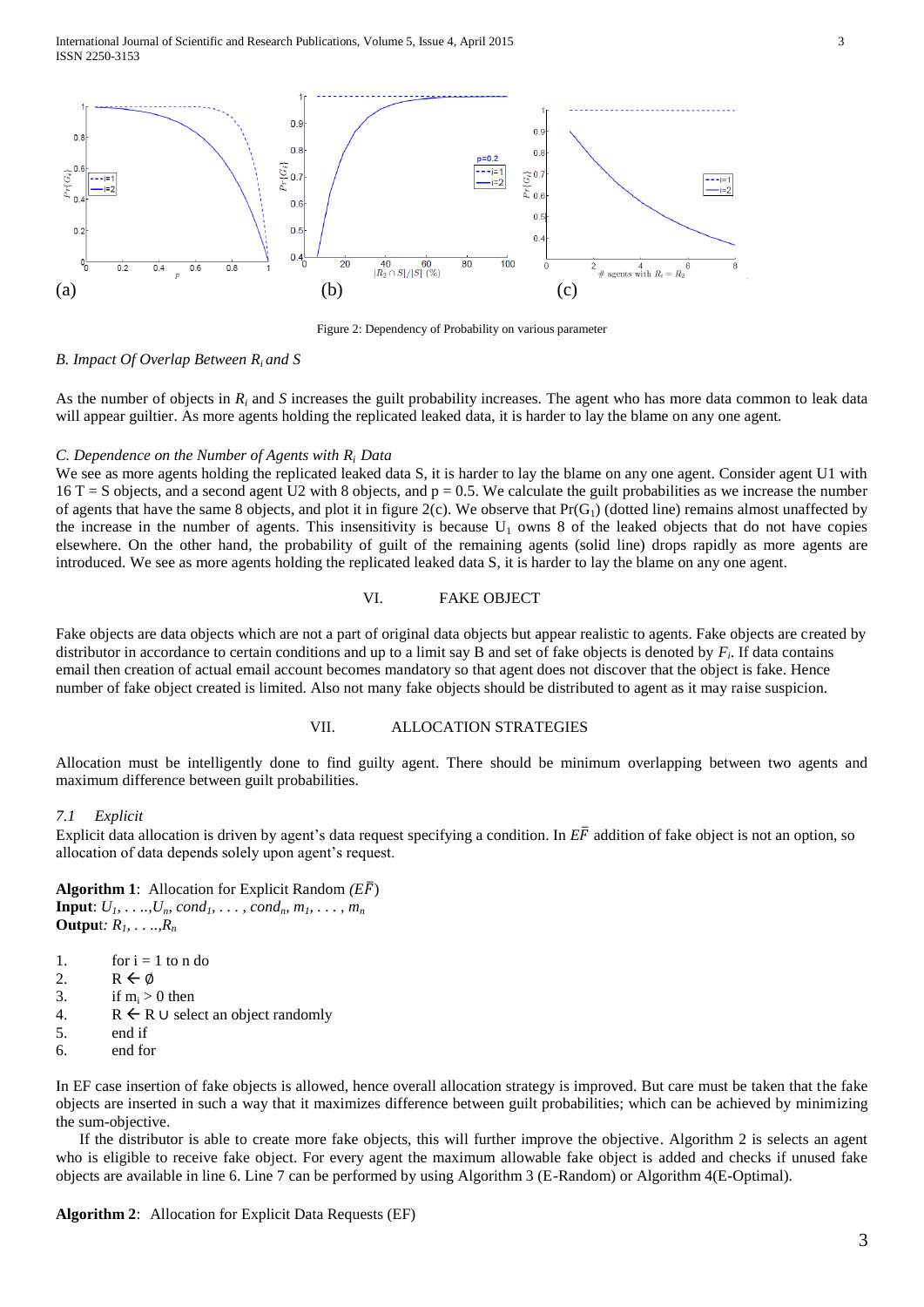International Journal of Scientific and Research Publications, Volume 5, Issue 4, April 2015 3 ISSN 2250-3153



Figure 2: Dependency of Probability on various parameter

#### *B. Impact Of Overlap Between Ri and S*

As the number of objects in  $R_i$  and *S* increases the guilt probability increases. The agent who has more data common to leak data will appear guiltier. As more agents holding the replicated leaked data, it is harder to lay the blame on any one agent.

#### *C. Dependence on the Number of Agents with Ri Data*

We see as more agents holding the replicated leaked data S, it is harder to lay the blame on any one agent. Consider agent U1 with  $16$  T = S objects, and a second agent U2 with 8 objects, and  $p = 0.5$ . We calculate the guilt probabilities as we increase the number of agents that have the same 8 objects, and plot it in figure  $2(c)$ . We observe that  $Pr(G_1)$  (dotted line) remains almost unaffected by the increase in the number of agents. This insensitivity is because  $U_1$  owns 8 of the leaked objects that do not have copies elsewhere. On the other hand, the probability of guilt of the remaining agents (solid line) drops rapidly as more agents are introduced. We see as more agents holding the replicated leaked data S, it is harder to lay the blame on any one agent.

## VI. FAKE OBJECT

Fake objects are data objects which are not a part of original data objects but appear realistic to agents. Fake objects are created by distributor in accordance to certain conditions and up to a limit say B and set of fake objects is denoted by *F<sup>i</sup>* . If data contains email then creation of actual email account becomes mandatory so that agent does not discover that the object is fake. Hence number of fake object created is limited. Also not many fake objects should be distributed to agent as it may raise suspicion.

## VII. ALLOCATION STRATEGIES

Allocation must be intelligently done to find guilty agent. There should be minimum overlapping between two agents and maximum difference between guilt probabilities.

## *7.1 Explicit*

Explicit data allocation is driven by agent's data request specifying a condition. In  $E\bar{F}$  addition of fake object is not an option, so allocation of data depends solely upon agent's request.

**Algorithm 1**: Allocation for Explicit Random *(E*̅) **Input**:  $U_1, \ldots, U_n$ *, cond<sub>1</sub>, ..., cond<sub>n</sub>,*  $m_1, \ldots, m_n$ **Outpu**t*: R1, . . ..,R<sup>n</sup>*

- 1. for  $i = 1$  to n do
- 2. R  $\leftarrow \emptyset$
- 3. if  $m_i > 0$  then
- 4.  $R \leftarrow R \cup$  select an object randomly
- 5. end if
- 6. end for

In EF case insertion of fake objects is allowed, hence overall allocation strategy is improved. But care must be taken that the fake objects are inserted in such a way that it maximizes difference between guilt probabilities; which can be achieved by minimizing the sum-objective.

 If the distributor is able to create more fake objects, this will further improve the objective. Algorithm 2 is selects an agent who is eligible to receive fake object. For every agent the maximum allowable fake object is added and checks if unused fake objects are available in line 6. Line 7 can be performed by using Algorithm 3 (E-Random) or Algorithm 4(E-Optimal).

**Algorithm 2**: Allocation for Explicit Data Requests (EF)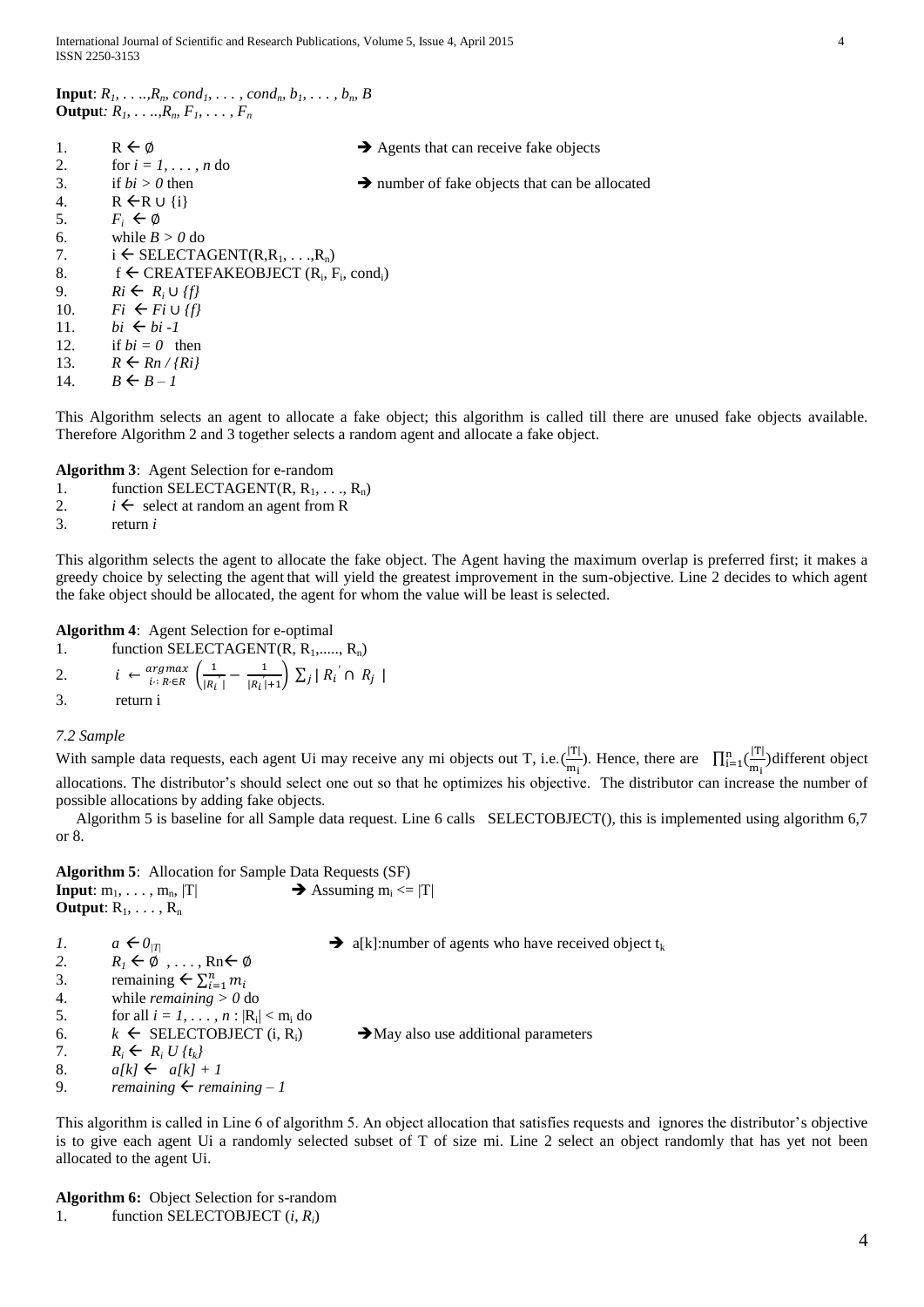| <b>Input:</b> $R_1, \ldots, R_n$ cond <sub>1</sub> , $\ldots$ , cond <sub>n</sub> , $b_1, \ldots, b_n$ , B |  |  |  |  |
|------------------------------------------------------------------------------------------------------------|--|--|--|--|
| <b>Output:</b> $R_1, \ldots, R_n, F_1, \ldots, F_n$                                                        |  |  |  |  |

| 1.  | $R \leftarrow \emptyset$                                                               | $\rightarrow$ Agents that can receive fake objects         |
|-----|----------------------------------------------------------------------------------------|------------------------------------------------------------|
| 2.  | for $i = 1, \ldots, n$ do                                                              |                                                            |
| 3.  | if $bi > 0$ then                                                                       | $\rightarrow$ number of fake objects that can be allocated |
| 4.  | $R \leftarrow R \cup \{i\}$                                                            |                                                            |
| 5.  | $F_i \leftarrow \emptyset$                                                             |                                                            |
| 6.  | while $B > 0$ do                                                                       |                                                            |
| 7.  | $i \in$ SELECTAGENT(R,R <sub>1</sub> , ,R <sub>n</sub> )                               |                                                            |
| 8.  | f $\leftarrow$ CREATEFAKEOBJECT (R <sub>i</sub> , F <sub>i</sub> , cond <sub>i</sub> ) |                                                            |
| 9.  | $R_i \leftarrow R_i \cup \{f\}$                                                        |                                                            |
| 10. | $Fi \leftarrow Fi \cup \{fl\}$                                                         |                                                            |
| 11. | $bi \leftarrow bi -1$                                                                  |                                                            |
| 12. | if $bi = 0$ then                                                                       |                                                            |
| 13. | $R \leftarrow Rn / \{Ri\}$                                                             |                                                            |
| 14. | $B \leftarrow B - I$                                                                   |                                                            |

This Algorithm selects an agent to allocate a fake object; this algorithm is called till there are unused fake objects available. Therefore Algorithm 2 and 3 together selects a random agent and allocate a fake object.

**Algorithm 3**: Agent Selection for e-random

- 1. function SELECTAGENT(R,  $R_1, \ldots, R_n$ )
- 2.  $i \leftarrow$  select at random an agent from R
- 3. return *i*

This algorithm selects the agent to allocate the fake object. The Agent having the maximum overlap is preferred first; it makes a greedy choice by selecting the agent that will yield the greatest improvement in the sum-objective. Line 2 decides to which agent the fake object should be allocated, the agent for whom the value will be least is selected.

**Algorithm 4**: Agent Selection for e-optimal

1. function SELECTAGENT(R,  $R_1$ ,.....,  $R_n$ )

2. 
$$
i \leftarrow \frac{argmax}{i:Re \in R} \left( \frac{1}{|R_i|} - \frac{1}{|R_i|+1} \right) \sum_j |R_i| \cap R_j
$$

3. return i

## *7.2 Sample*

With sample data requests, each agent Ui may receive any mi objects out T, i.e.  $\left(\frac{|\mathcal{T}|}{|\mathcal{T}|}\right)$  $\frac{|\mathbf{T}|}{\mathbf{m}_i}$ ). Hence, there are  $\prod_{i=1}^n \left(\frac{|\mathbf{T}|}{\mathbf{m}_i}\right)$  $\sum_{i=1}^{n} \left( \frac{|T|}{m_i} \right)$ different object allocations. The distributor's should select one out so that he optimizes his objective. The distributor can increase the number of possible allocations by adding fake objects.

Algorithm 5 is baseline for all Sample data request. Line 6 calls SELECTOBJECT(), this is implemented using algorithm 6,7 or 8.

**Algorithm 5**: Allocation for Sample Data Requests (SF) **Input**:  $m_1, \ldots, m_n$ ,  $|T|$  <br>**Assuming**  $m_i \leq |T|$ **Output**:  $R_1, \ldots, R_n$ 

- *1.*  $a \leftarrow 0_{|T|}$  **a 3**  $\downarrow$  **a**  $\downarrow$  **a**  $\downarrow$  **a**  $\downarrow$  **a**  $\downarrow$  **a**  $\downarrow$  **a**  $\downarrow$  **a**  $\downarrow$  **a**  $\downarrow$  **a**  $\downarrow$  **a**  $\downarrow$  **a**  $\downarrow$  **a**  $\downarrow$  **a**  $\downarrow$  **a**  $\downarrow$  **a**  $\downarrow$  **a**  $\downarrow$  **a**  $\downarrow$  **a**  $\downarrow$  **a**  $\downarrow$
- 2.  $R_I \leftarrow \emptyset$ , ..., Rn $\leftarrow \emptyset$
- 3. remaining  $\leftarrow \sum_{i=1}^{n} m_i$
- 4. while *remaining > 0* do
- 5. for all  $i = 1, ..., n : |R_i| < m_i$  do
- 6.  $k \leftarrow$  SELECTOBJECT (i, R<sub>i</sub>)  $\rightarrow$  May also use additional parameters
- 7.  $R_i \leftarrow R_i U \{t_k\}$

8. *a*[k]  $\leftarrow$  *a*[k] + 1

9. *remaining*  $\leftarrow$  *remaining*  $-1$ 

This algorithm is called in Line 6 of algorithm 5. An object allocation that satisfies requests and ignores the distributor's objective is to give each agent Ui a randomly selected subset of T of size mi. Line 2 select an object randomly that has yet not been allocated to the agent Ui.

**Algorithm 6:** Object Selection for s-random 1. function SELECTOBJECT (*i, Ri*)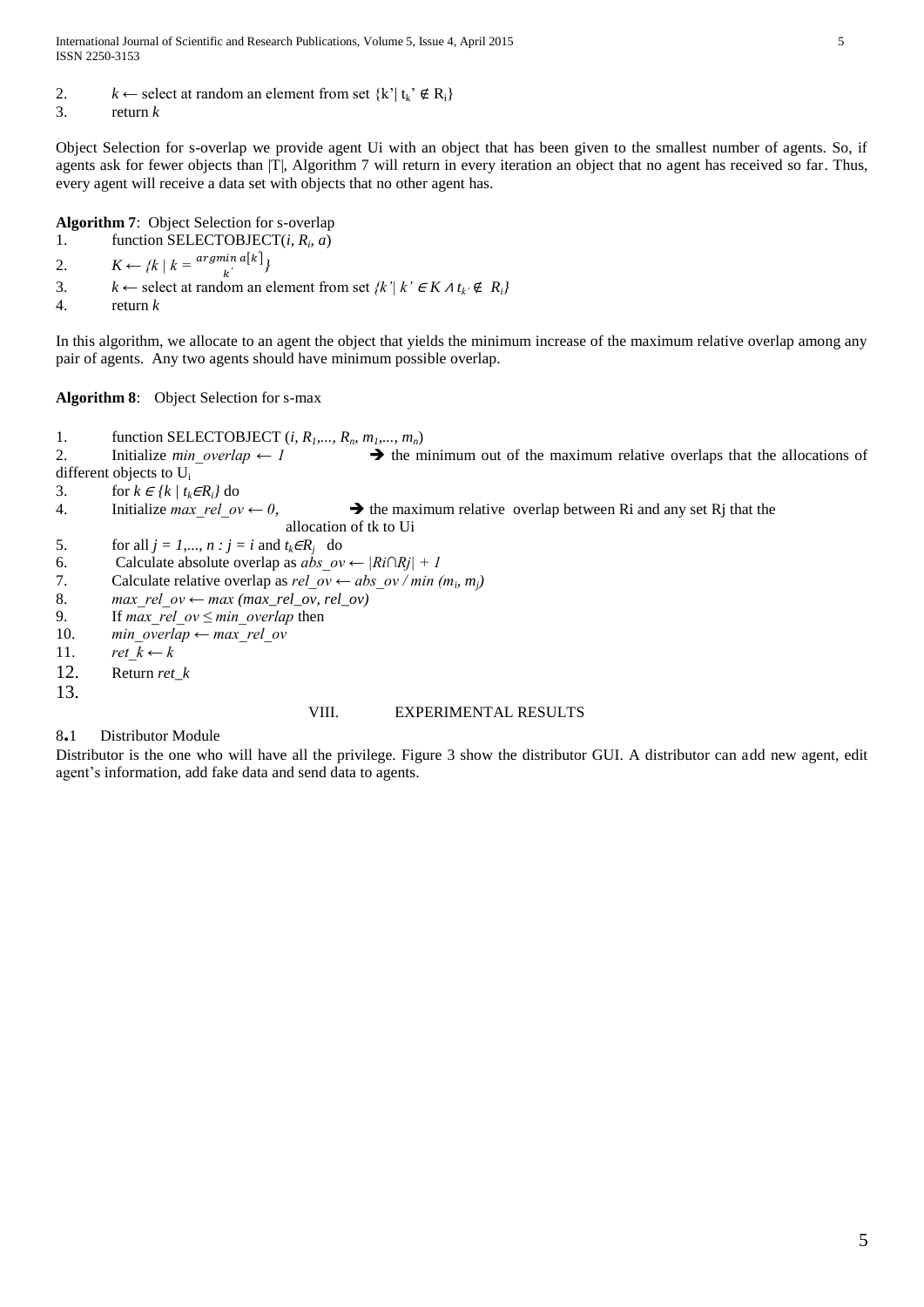2.  $k \leftarrow$  select at random an element from set  $\{k' | t_k \notin R_i\}$ 

3. return *k*

Object Selection for s-overlap we provide agent Ui with an object that has been given to the smallest number of agents. So, if agents ask for fewer objects than [T], Algorithm 7 will return in every iteration an object that no agent has received so far. Thus, every agent will receive a data set with objects that no other agent has.

**Algorithm 7**: Object Selection for s-overlap

1. function SELECTOBJECT(*i*,  $R_i$ , *a*)

2.  $K \leftarrow \{k \mid k = \frac{\text{argmin } a[k^{\prime}]}{k^{\prime}}\}$ *′*

3. *k* ← select at random an element from set  $\{k' | k' \in K \land t_k \notin R_i\}$ 

4. return *k*

In this algorithm, we allocate to an agent the object that yields the minimum increase of the maximum relative overlap among any pair of agents. Any two agents should have minimum possible overlap.

**Algorithm 8**: Object Selection for s-max

1. function SELECTOBJECT (*i*,  $R_1$ ,...,  $R_n$ ,  $m_1$ ,...,  $m_n$ )<br>2. Initialize *min* overlap  $\leftarrow$  1  $\rightarrow$  the m

2. Initialize *min\_overlap* ← 1  $\rightarrow$  the minimum out of the maximum relative overlaps that the allocations of different objects to U<sup>i</sup>

3. for  $k \in \{k \mid t_k \in R_i\}$  do

- 4. Initialize *max* rel ov  $\leftarrow 0$ ,  $\rightarrow$  the maximum relative overlap between Ri and any set Rj that the allocation of tk to Ui
- 5. for all  $j = 1,..., n : j = i$  and  $t_k \in R_j$  do

6. Calculate absolute overlap as *abs\_ov ← |Ri∩Rj| + 1*

- 7. Calculate relative overlap as  $rel\_ov \leftarrow abs\_ov / min (m_i, m_j)$
- 8. *max rel ov ← max (max\_rel\_ov, rel\_ov)*
- 9. If *max\_rel\_ov ≤ min\_overlap* then
- 10. *min\_overlap* ← *max\_rel\_ov*
- 11. *ret*  $k \leftarrow k$
- 12. Return *ret\_k*
- 13.

## VIII. EXPERIMENTAL RESULTS

8**.**1 Distributor Module

Distributor is the one who will have all the privilege. Figure 3 show the distributor GUI. A distributor can add new agent, edit agent's information, add fake data and send data to agents.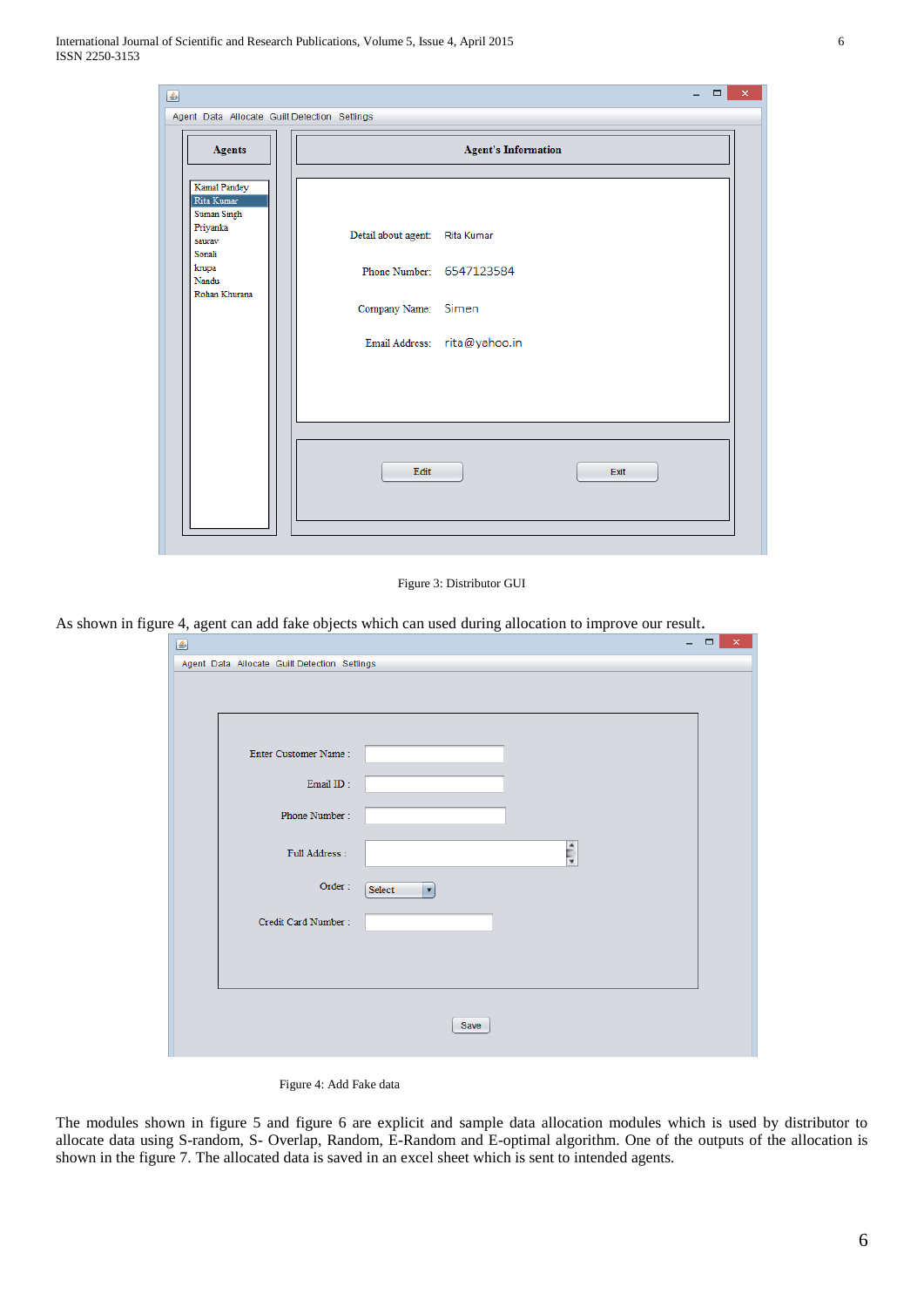| 圖                                                                                                            |                                                                                                                   | $\Box$<br>$\overline{\phantom{0}}$ | $\pmb{\times}$ |
|--------------------------------------------------------------------------------------------------------------|-------------------------------------------------------------------------------------------------------------------|------------------------------------|----------------|
| Agent Data Allocate Guilt Detection Settings                                                                 |                                                                                                                   |                                    |                |
| <b>Agents</b>                                                                                                | <b>Agent's Information</b>                                                                                        |                                    |                |
| Kamal Pandey<br>Rita Kumar<br>Suman Singh<br>Priyanka<br>saurav<br>Sonali<br>krupa<br>Nandu<br>Rohan Khurana | Detail about agent: Rita Kumar<br>Phone Number: 6547123584<br>Company Name: Simen<br>Email Address: rita@yahoo.in |                                    |                |
|                                                                                                              | Edit<br>Exit                                                                                                      |                                    |                |
|                                                                                                              |                                                                                                                   |                                    |                |

Figure 3: Distributor GUI

As shown in figure 4, agent can add fake objects which can used during allocation to improve our result.

| Enter Customer Name: |                                |  |
|----------------------|--------------------------------|--|
| Email ID:            |                                |  |
| Phone Number:        |                                |  |
| Full Address:        | $\frac{1}{2}$                  |  |
| Order:               | Select<br>$\blacktriangledown$ |  |
| Credit Card Number:  |                                |  |
|                      |                                |  |
|                      |                                |  |

Figure 4: Add Fake data

The modules shown in figure 5 and figure 6 are explicit and sample data allocation modules which is used by distributor to allocate data using S-random, S- Overlap, Random, E-Random and E-optimal algorithm. One of the outputs of the allocation is shown in the figure 7. The allocated data is saved in an excel sheet which is sent to intended agents.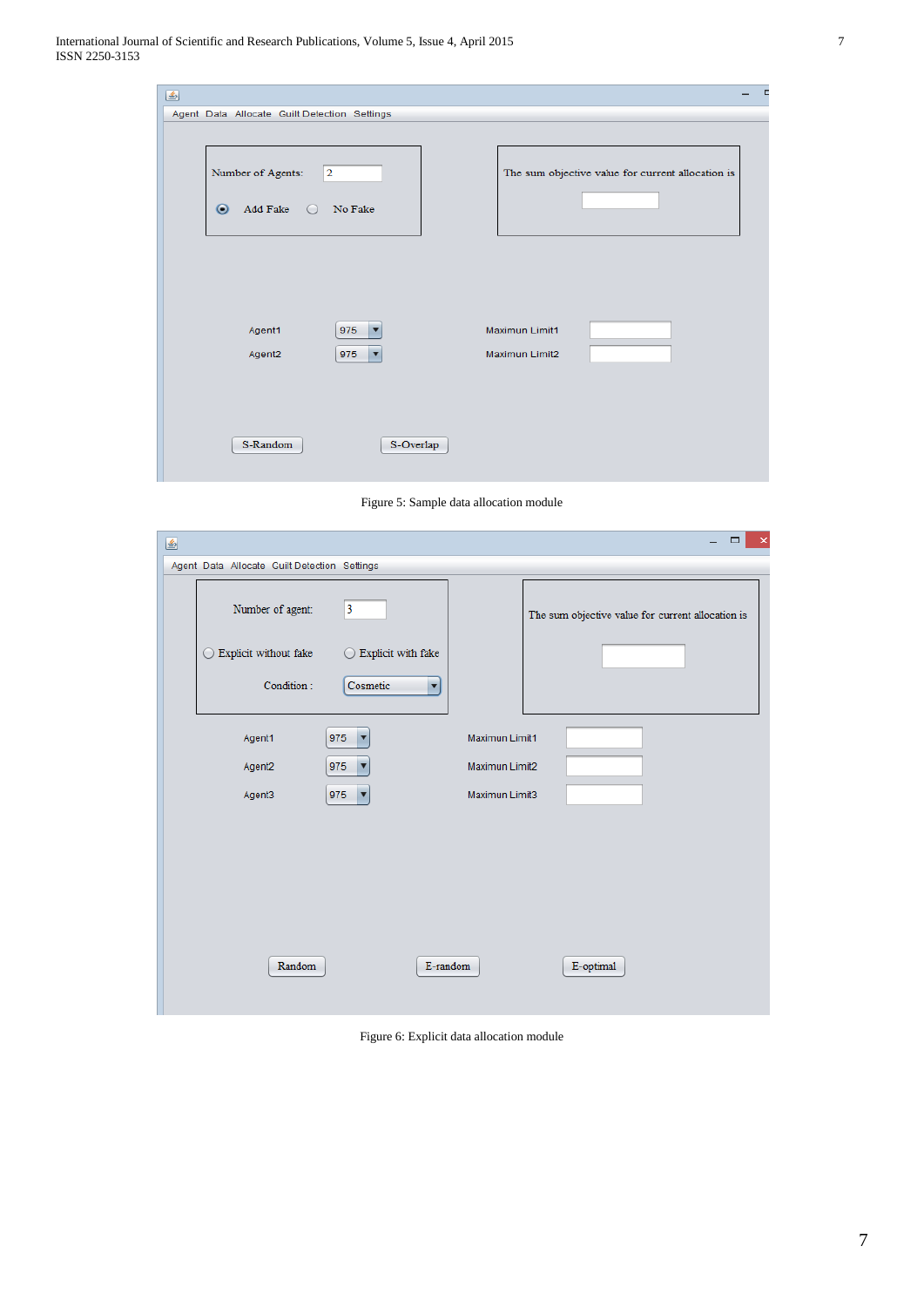| 圖                                                                       | -                                                 |
|-------------------------------------------------------------------------|---------------------------------------------------|
| Agent Data Allocate Guilt Detection Settings                            |                                                   |
| Number of Agents:<br>$ 2\rangle$<br>Add Fake O No Fake                  | The sum objective value for current allocation is |
| Agent1<br>975<br>v<br>Agent <sub>2</sub><br>975<br>$\blacktriangledown$ | Maximun Limit1<br>Maximun Limit2                  |
| S-Random<br>S-Overlap                                                   |                                                   |

Figure 5: Sample data allocation module

| € |                                              |                                  |                | $\Box$<br>$\pmb{\times}$<br>$\equiv$              |
|---|----------------------------------------------|----------------------------------|----------------|---------------------------------------------------|
|   | Agent Data Allocate Guilt Detection Settings |                                  |                |                                                   |
|   | Number of agent:                             | $\overline{\mathbf{3}}$          |                | The sum objective value for current allocation is |
|   | Explicit without fake<br>$\cup$              | $\bigcirc$ Explicit with fake    |                |                                                   |
|   | Condition:                                   | Cosmetic<br>$\blacktriangledown$ |                |                                                   |
|   | Agent1                                       | 975<br>Y                         | Maximun Limit1 |                                                   |
|   | Agent2                                       | 975<br>v                         | Maximun Limit2 |                                                   |
|   | Agent3                                       | $\overline{\mathbf{v}}$<br>975   | Maximun Limit3 |                                                   |
|   |                                              |                                  |                |                                                   |
|   |                                              |                                  |                |                                                   |
|   |                                              |                                  |                |                                                   |
|   |                                              |                                  |                |                                                   |
|   |                                              |                                  |                |                                                   |
|   | Random                                       |                                  | E-random       | E-optimal                                         |
|   |                                              |                                  |                |                                                   |

Figure 6: Explicit data allocation module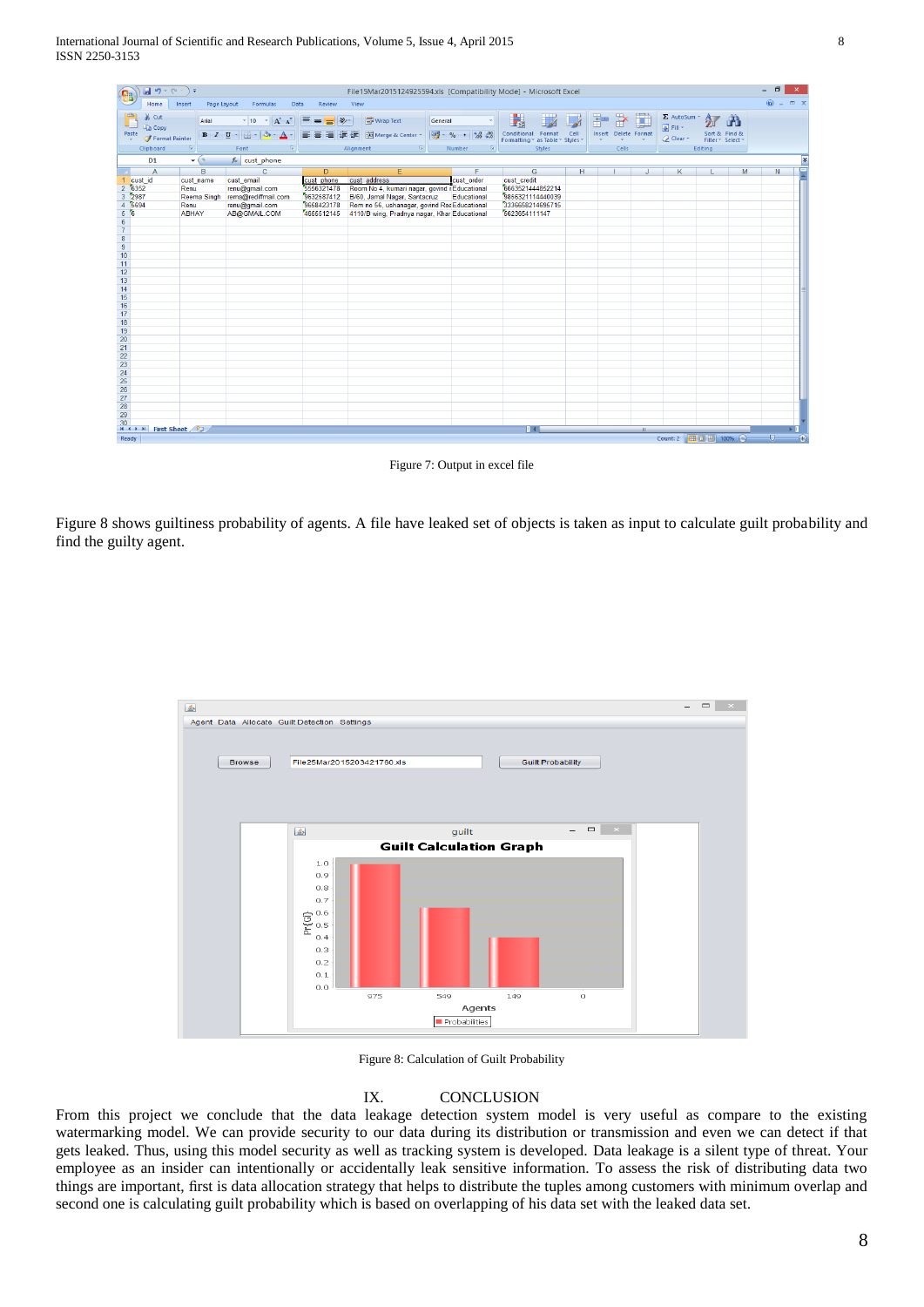| <b>B</b>                                                        | $\boxed{\blacksquare \lrcorner \lrcorner} \cdot (\mathbb{N} \cdot \mathbb{N}) =$  |                         |                                                         |                           | File15Mar2015124925594.xls [Compatibility Mode] - Microsoft Excel |                                                         |                                                             |   |                      |              |                                                |                                                                     | $\Box$<br>$\mathbf{x}$    |   |
|-----------------------------------------------------------------|-----------------------------------------------------------------------------------|-------------------------|---------------------------------------------------------|---------------------------|-------------------------------------------------------------------|---------------------------------------------------------|-------------------------------------------------------------|---|----------------------|--------------|------------------------------------------------|---------------------------------------------------------------------|---------------------------|---|
|                                                                 | Home                                                                              | Page Layout<br>Insert   | Formulas<br>Data                                        | Review                    | View                                                              |                                                         |                                                             |   |                      |              |                                                |                                                                     | $\mathbb{R}$ $\mathbb{R}$ |   |
|                                                                 | & Cut<br><b>En</b> Copy                                                           | Arial                   | $\mathbf{A}$ 10 $\mathbf{A}$ $\mathbf{A}$               | $\equiv$ = $\equiv$ $\gg$ | Wrap Text                                                         | General                                                 | $\mathbb{R}$<br>最                                           |   | ÷                    | 李重           | Σ AutoSum *<br>$\boxed{9}$ Fill $\overline{4}$ | $\frac{A}{2}$<br>Ã                                                  |                           |   |
|                                                                 | Paste<br>Format Painter                                                           |                         | $B$ $I$ $U$ $\cdot$ $\cdot$ $\cdot$ $\cdot$ $A$ $\cdot$ |                           | ■ ■ ■ 伊伊 国Merge & Center *                                        | $\frac{149}{3}$ - % , $\frac{40}{30}$ : $\frac{00}{30}$ | Conditional Format Cell<br>Formatting * as Table * Styles * |   | Insert Delete Format |              | 2 Clear                                        | Sort & Find &<br>Filter * Select *                                  |                           |   |
|                                                                 | Clipboard                                                                         | $\overline{\mathbb{Q}}$ | Font<br>- 150                                           |                           | Alignment<br>- Fa                                                 | 15<br>Number                                            | Styles                                                      |   | Cells                |              |                                                | Editing                                                             |                           |   |
|                                                                 | D <sub>1</sub>                                                                    | $\mathbf{r}$ (a)        | $f_x$ cust_phone                                        |                           |                                                                   |                                                         |                                                             |   |                      |              |                                                |                                                                     |                           | ¥ |
|                                                                 | $\overline{A}$                                                                    | B                       | $\sim$ $\sim$ $\sim$ $\sim$ $\sim$ $\sim$               | $\mathsf{D}$              | E                                                                 | F.                                                      | $\overline{G}$                                              | H |                      | J.           | K                                              | M<br>L                                                              | N                         |   |
|                                                                 | $\frac{\text{cust_id}}{\text{6352}}$                                              | cust name               | cust email                                              | cust phone                | cust address                                                      | cust order                                              | cust_credit                                                 |   |                      |              |                                                |                                                                     |                           |   |
| $\overline{2}$                                                  |                                                                                   | Renu                    | renu@gmail.com                                          | 5556321478                | Room No 4, kumari nagar, govind i Educational                     |                                                         | 6663521444852214                                            |   |                      |              |                                                |                                                                     |                           |   |
| $\overline{3}$                                                  | 2987                                                                              | <b>Reema Singh</b>      | rema@rediffmail.com                                     | 9632587412                | B/60, Jamal Nagar, Santacruz                                      | Educational                                             | 9856321114440039                                            |   |                      |              |                                                |                                                                     |                           |   |
|                                                                 | 5694                                                                              | Renu                    | renu@gmail.com                                          | 9658423178                | Rom no 56, ushanagar, govind Roa Educational                      |                                                         | 3336658214695715                                            |   |                      |              |                                                |                                                                     |                           |   |
|                                                                 |                                                                                   | <b>ABHAY</b>            | AB@GMAIL.COM                                            | 4655512145                | 4110/B wing, Pradnya nagar, Khar Educational                      |                                                         | 5623654111147                                               |   |                      |              |                                                |                                                                     |                           |   |
|                                                                 |                                                                                   |                         |                                                         |                           |                                                                   |                                                         |                                                             |   |                      |              |                                                |                                                                     |                           |   |
|                                                                 |                                                                                   |                         |                                                         |                           |                                                                   |                                                         |                                                             |   |                      |              |                                                |                                                                     |                           |   |
|                                                                 |                                                                                   |                         |                                                         |                           |                                                                   |                                                         |                                                             |   |                      |              |                                                |                                                                     |                           |   |
|                                                                 |                                                                                   |                         |                                                         |                           |                                                                   |                                                         |                                                             |   |                      |              |                                                |                                                                     |                           |   |
|                                                                 |                                                                                   |                         |                                                         |                           |                                                                   |                                                         |                                                             |   |                      |              |                                                |                                                                     |                           |   |
| $\frac{11}{12}$                                                 |                                                                                   |                         |                                                         |                           |                                                                   |                                                         |                                                             |   |                      |              |                                                |                                                                     |                           |   |
|                                                                 |                                                                                   |                         |                                                         |                           |                                                                   |                                                         |                                                             |   |                      |              |                                                |                                                                     |                           |   |
|                                                                 |                                                                                   |                         |                                                         |                           |                                                                   |                                                         |                                                             |   |                      |              |                                                |                                                                     |                           |   |
|                                                                 |                                                                                   |                         |                                                         |                           |                                                                   |                                                         |                                                             |   |                      |              |                                                |                                                                     |                           |   |
| $\frac{13}{14}$ $\frac{14}{15}$                                 |                                                                                   |                         |                                                         |                           |                                                                   |                                                         |                                                             |   |                      |              |                                                |                                                                     |                           |   |
|                                                                 |                                                                                   |                         |                                                         |                           |                                                                   |                                                         |                                                             |   |                      |              |                                                |                                                                     |                           |   |
|                                                                 |                                                                                   |                         |                                                         |                           |                                                                   |                                                         |                                                             |   |                      |              |                                                |                                                                     |                           |   |
|                                                                 |                                                                                   |                         |                                                         |                           |                                                                   |                                                         |                                                             |   |                      |              |                                                |                                                                     |                           |   |
| $\begin{array}{r} 17 \\ 18 \\ 19 \\ 20 \end{array}$             |                                                                                   |                         |                                                         |                           |                                                                   |                                                         |                                                             |   |                      |              |                                                |                                                                     |                           |   |
| 21                                                              |                                                                                   |                         |                                                         |                           |                                                                   |                                                         |                                                             |   |                      |              |                                                |                                                                     |                           |   |
|                                                                 |                                                                                   |                         |                                                         |                           |                                                                   |                                                         |                                                             |   |                      |              |                                                |                                                                     |                           |   |
| $\begin{array}{r} 22 \\ 23 \\ 24 \\ 25 \\ 26 \\ 27 \end{array}$ |                                                                                   |                         |                                                         |                           |                                                                   |                                                         |                                                             |   |                      |              |                                                |                                                                     |                           |   |
|                                                                 |                                                                                   |                         |                                                         |                           |                                                                   |                                                         |                                                             |   |                      |              |                                                |                                                                     |                           |   |
|                                                                 |                                                                                   |                         |                                                         |                           |                                                                   |                                                         |                                                             |   |                      |              |                                                |                                                                     |                           |   |
|                                                                 |                                                                                   |                         |                                                         |                           |                                                                   |                                                         |                                                             |   |                      |              |                                                |                                                                     |                           |   |
|                                                                 |                                                                                   |                         |                                                         |                           |                                                                   |                                                         |                                                             |   |                      |              |                                                |                                                                     |                           |   |
| 28                                                              |                                                                                   |                         |                                                         |                           |                                                                   |                                                         |                                                             |   |                      |              |                                                |                                                                     |                           |   |
|                                                                 |                                                                                   |                         |                                                         |                           |                                                                   |                                                         |                                                             |   |                      |              |                                                |                                                                     |                           |   |
|                                                                 | $\frac{29}{10}$<br>$\frac{30}{10}$<br>$\frac{1}{10}$ + $\frac{1}{10}$ First Sheet |                         |                                                         |                           |                                                                   |                                                         |                                                             |   |                      |              |                                                |                                                                     |                           |   |
|                                                                 |                                                                                   |                         |                                                         |                           |                                                                   |                                                         | $\mathbb{R}$ 4                                              |   |                      | $\mathbf{H}$ |                                                |                                                                     | ×Г                        |   |
|                                                                 | Ready                                                                             |                         |                                                         |                           |                                                                   |                                                         |                                                             |   |                      |              |                                                | $Count:2$ $\boxed{HH}$ $\boxed{TH}$ $100\%$ $\boxed{2}$ $\boxed{0}$ | $\bigoplus$               |   |

Figure 7: Output in excel file

Figure 8 shows guiltiness probability of agents. A file have leaked set of objects is taken as input to calculate guilt probability and find the guilty agent.



Figure 8: Calculation of Guilt Probability

## IX. CONCLUSION

From this project we conclude that the data leakage detection system model is very useful as compare to the existing watermarking model. We can provide security to our data during its distribution or transmission and even we can detect if that gets leaked. Thus, using this model security as well as tracking system is developed. Data leakage is a silent type of threat. Your employee as an insider can intentionally or accidentally leak sensitive information. To assess the risk of distributing data two things are important, first is data allocation strategy that helps to distribute the tuples among customers with minimum overlap and second one is calculating guilt probability which is based on overlapping of his data set with the leaked data set.